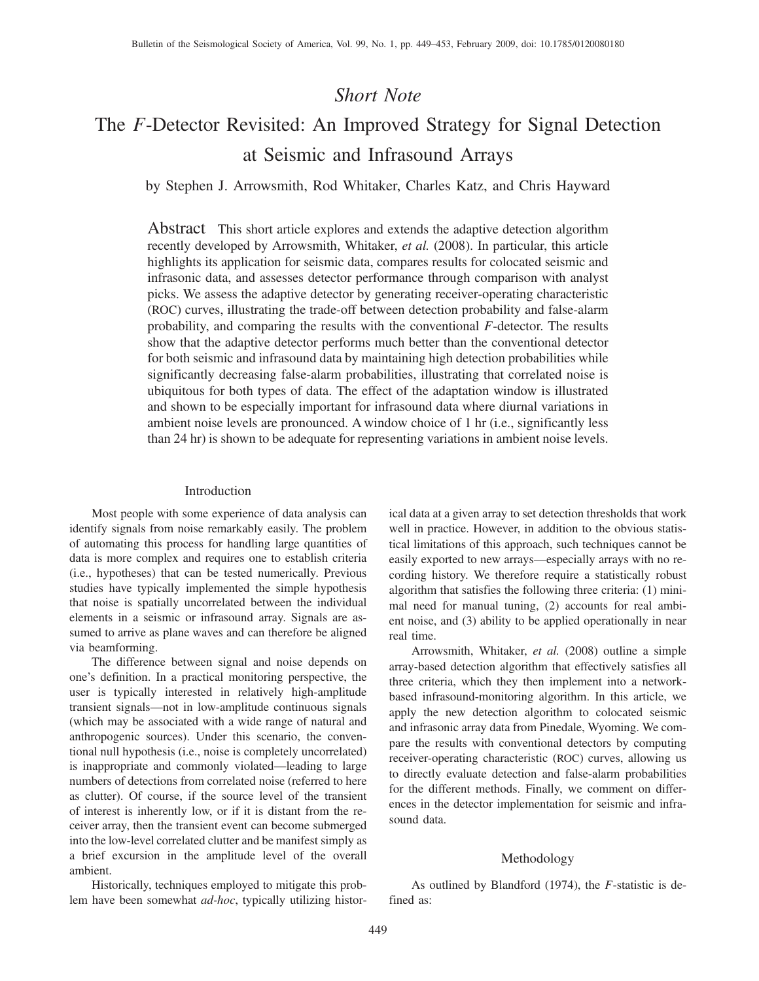# Short Note

# The F-Detector Revisited: An Improved Strategy for Signal Detection at Seismic and Infrasound Arrays

by Stephen J. Arrowsmith, Rod Whitaker, Charles Katz, and Chris Hayward

Abstract This short article explores and extends the adaptive detection algorithm recently developed by Arrowsmith, Whitaker, et al. (2008). In particular, this article highlights its application for seismic data, compares results for colocated seismic and infrasonic data, and assesses detector performance through comparison with analyst picks. We assess the adaptive detector by generating receiver-operating characteristic (ROC) curves, illustrating the trade-off between detection probability and false-alarm probability, and comparing the results with the conventional F-detector. The results show that the adaptive detector performs much better than the conventional detector for both seismic and infrasound data by maintaining high detection probabilities while significantly decreasing false-alarm probabilities, illustrating that correlated noise is ubiquitous for both types of data. The effect of the adaptation window is illustrated and shown to be especially important for infrasound data where diurnal variations in ambient noise levels are pronounced. A window choice of 1 hr (i.e., significantly less than 24 hr) is shown to be adequate for representing variations in ambient noise levels.

# Introduction

Most people with some experience of data analysis can identify signals from noise remarkably easily. The problem of automating this process for handling large quantities of data is more complex and requires one to establish criteria (i.e., hypotheses) that can be tested numerically. Previous studies have typically implemented the simple hypothesis that noise is spatially uncorrelated between the individual elements in a seismic or infrasound array. Signals are assumed to arrive as plane waves and can therefore be aligned via beamforming.

The difference between signal and noise depends on one's definition. In a practical monitoring perspective, the user is typically interested in relatively high-amplitude transient signals—not in low-amplitude continuous signals (which may be associated with a wide range of natural and anthropogenic sources). Under this scenario, the conventional null hypothesis (i.e., noise is completely uncorrelated) is inappropriate and commonly violated—leading to large numbers of detections from correlated noise (referred to here as clutter). Of course, if the source level of the transient of interest is inherently low, or if it is distant from the receiver array, then the transient event can become submerged into the low-level correlated clutter and be manifest simply as a brief excursion in the amplitude level of the overall ambient.

Historically, techniques employed to mitigate this problem have been somewhat ad-hoc, typically utilizing historical data at a given array to set detection thresholds that work well in practice. However, in addition to the obvious statistical limitations of this approach, such techniques cannot be easily exported to new arrays—especially arrays with no recording history. We therefore require a statistically robust algorithm that satisfies the following three criteria: (1) minimal need for manual tuning, (2) accounts for real ambient noise, and (3) ability to be applied operationally in near real time.

Arrowsmith, Whitaker, et al. (2008) outline a simple array-based detection algorithm that effectively satisfies all three criteria, which they then implement into a networkbased infrasound-monitoring algorithm. In this article, we apply the new detection algorithm to colocated seismic and infrasonic array data from Pinedale, Wyoming. We compare the results with conventional detectors by computing receiver-operating characteristic (ROC) curves, allowing us to directly evaluate detection and false-alarm probabilities for the different methods. Finally, we comment on differences in the detector implementation for seismic and infrasound data.

## Methodology

As outlined by Blandford (1974), the F-statistic is defined as: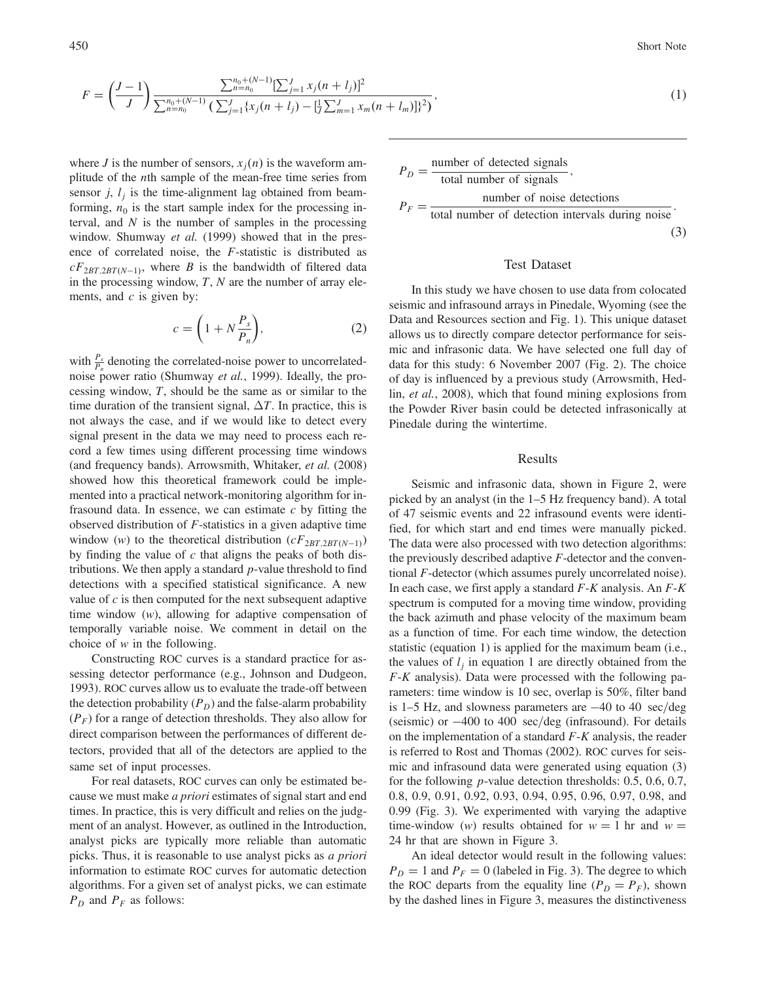$$
F = \left(\frac{J-1}{J}\right) \frac{\sum_{n=n_0}^{n_0 + (N-1)} [\sum_{j=1}^J x_j(n+l_j)]^2}{\sum_{n=n_0}^{n_0 + (N-1)} (\sum_{j=1}^J \{x_j(n+l_j) - [\frac{1}{J}\sum_{m=1}^J x_m(n+l_m)]\}^2)},\tag{1}
$$

where J is the number of sensors,  $x_i(n)$  is the waveform amplitude of the nth sample of the mean-free time series from sensor j,  $l_i$  is the time-alignment lag obtained from beamforming,  $n_0$  is the start sample index for the processing interval, and  $N$  is the number of samples in the processing window. Shumway et al. (1999) showed that in the presence of correlated noise, the F-statistic is distributed as  $cF_{2BT,2BT(N-1)}$ , where B is the bandwidth of filtered data<br>in the processing window T. N are the number of arroy alg in the processing window,  $T$ ,  $N$  are the number of array elements, and  $c$  is given by:

$$
c = \left(1 + N \frac{P_s}{P_n}\right),\tag{2}
$$

with  $\frac{P_s}{P_n}$  denoting the correlated-noise power to uncorrelatednoise power ratio (Shumway et al., 1999). Ideally, the processing window, T, should be the same as or similar to the time duration of the transient signal,  $\Delta T$ . In practice, this is not always the case, and if we would like to detect every signal present in the data we may need to process each record a few times using different processing time windows (and frequency bands). Arrowsmith, Whitaker, et al. (2008) showed how this theoretical framework could be implemented into a practical network-monitoring algorithm for infrasound data. In essence, we can estimate  $c$  by fitting the observed distribution of  $F$ -statistics in a given adaptive time window (w) to the theoretical distribution  $(cF_{2BT,2BT(N-1)})$ <br>by finding the value of a that aligns the peaks of both disby finding the value of  $c$  that aligns the peaks of both distributions. We then apply a standard  $p$ -value threshold to find detections with a specified statistical significance. A new value of  $c$  is then computed for the next subsequent adaptive time window (w), allowing for adaptive compensation of temporally variable noise. We comment in detail on the choice of  $w$  in the following.

Constructing ROC curves is a standard practice for assessing detector performance (e.g., Johnson and Dudgeon, 1993). ROC curves allow us to evaluate the trade-off between the detection probability  $(P_D)$  and the false-alarm probability  $(P_F)$  for a range of detection thresholds. They also allow for direct comparison between the performances of different detectors, provided that all of the detectors are applied to the same set of input processes.

For real datasets, ROC curves can only be estimated because we must make a priori estimates of signal start and end times. In practice, this is very difficult and relies on the judgment of an analyst. However, as outlined in the Introduction, analyst picks are typically more reliable than automatic picks. Thus, it is reasonable to use analyst picks as a priori information to estimate ROC curves for automatic detection algorithms. For a given set of analyst picks, we can estimate  $P_D$  and  $P_F$  as follows:

$$
P_D = \frac{\text{number of detected signals}}{\text{total number of signals}},
$$
\n
$$
P_F = \frac{\text{number of noise detections}}{\text{total number of detection intervals during noise}}.
$$
\n(3)

# Test Dataset

In this study we have chosen to use data from colocated seismic and infrasound arrays in Pinedale, Wyoming (see the Data and Resources section and Fig. 1). This unique dataset allows us to directly compare detector performance for seismic and infrasonic data. We have selected one full day of data for this study: 6 November 2007 (Fig. 2). The choice of day is influenced by a previous study (Arrowsmith, Hedlin, et al., 2008), which that found mining explosions from the Powder River basin could be detected infrasonically at Pinedale during the wintertime.

#### Results

Seismic and infrasonic data, shown in Figure 2, were picked by an analyst (in the 1–5 Hz frequency band). A total of 47 seismic events and 22 infrasound events were identified, for which start and end times were manually picked. The data were also processed with two detection algorithms: the previously described adaptive  $F$ -detector and the conventional F-detector (which assumes purely uncorrelated noise). In each case, we first apply a standard  $F-K$  analysis. An  $F-K$ spectrum is computed for a moving time window, providing the back azimuth and phase velocity of the maximum beam as a function of time. For each time window, the detection statistic (equation 1) is applied for the maximum beam (i.e., the values of  $l_i$  in equation 1 are directly obtained from the  $F-K$  analysis). Data were processed with the following parameters: time window is 10 sec, overlap is 50%, filter band is 1–5 Hz, and slowness parameters are  $-40$  to 40 sec/deg<br>(seismic) or  $-400$  to 400 sec/deg (infrasound). For details (seismic) or  $-400$  to 400 sec/deg (infrasound). For details<br>on the implementation of a standard  $F-K$  analysis, the reader on the implementation of a standard  $F-K$  analysis, the reader is referred to Rost and Thomas (2002). ROC curves for seismic and infrasound data were generated using equation (3) for the following *p*-value detection thresholds: 0.5, 0.6, 0.7, 0.8, 0.9, 0.91, 0.92, 0.93, 0.94, 0.95, 0.96, 0.97, 0.98, and 0.99 (Fig. 3). We experimented with varying the adaptive time-window (w) results obtained for  $w = 1$  hr and  $w =$ 24 hr that are shown in Figure 3.

An ideal detector would result in the following values:  $P_D = 1$  and  $P_F = 0$  (labeled in Fig. 3). The degree to which the ROC departs from the equality line  $(P_D = P_F)$ , shown by the dashed lines in Figure 3, measures the distinctiveness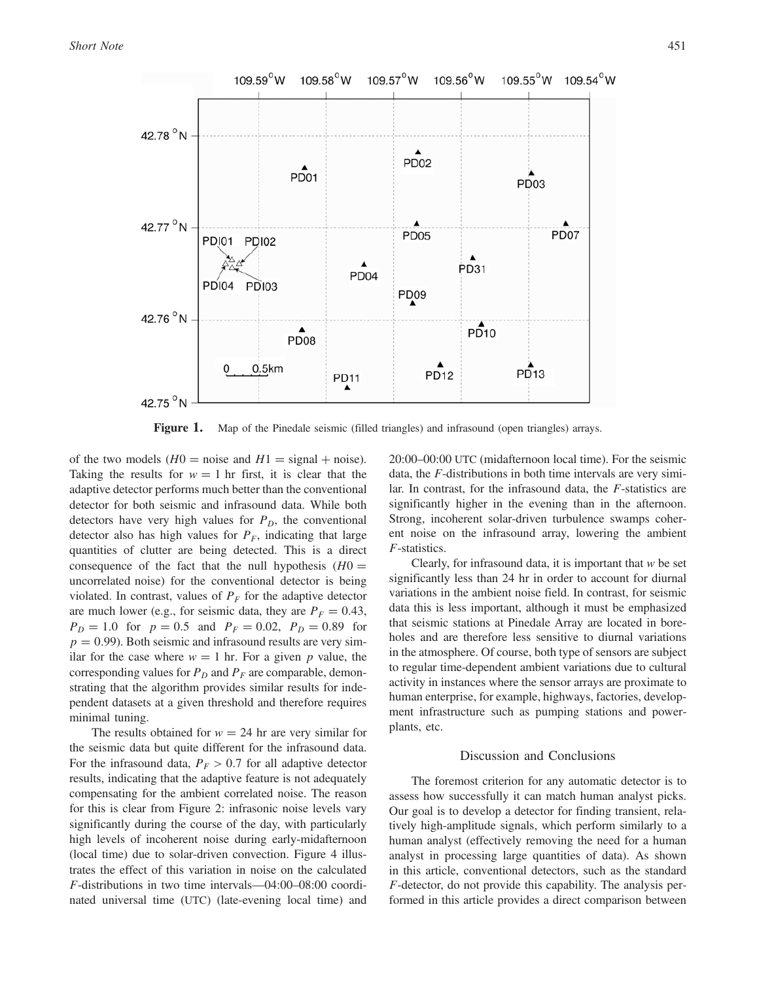

Figure 1. Map of the Pinedale seismic (filled triangles) and infrasound (open triangles) arrays.

of the two models  $(H0 = \text{noise and } H1 = \text{signal} + \text{noise}).$ Taking the results for  $w = 1$  hr first, it is clear that the adaptive detector performs much better than the conventional detector for both seismic and infrasound data. While both detectors have very high values for  $P_D$ , the conventional detector also has high values for  $P_F$ , indicating that large quantities of clutter are being detected. This is a direct consequence of the fact that the null hypothesis  $(H0 =$ uncorrelated noise) for the conventional detector is being violated. In contrast, values of  $P_F$  for the adaptive detector are much lower (e.g., for seismic data, they are  $P_F = 0.43$ ,  $P_D = 1.0$  for  $p = 0.5$  and  $P_F = 0.02$ ,  $P_D = 0.89$  for  $p = 0.99$ ). Both seismic and infrasound results are very similar for the case where  $w = 1$  hr. For a given p value, the corresponding values for  $P_D$  and  $P_F$  are comparable, demonstrating that the algorithm provides similar results for independent datasets at a given threshold and therefore requires minimal tuning.

The results obtained for  $w = 24$  hr are very similar for the seismic data but quite different for the infrasound data. For the infrasound data,  $P_F > 0.7$  for all adaptive detector results, indicating that the adaptive feature is not adequately compensating for the ambient correlated noise. The reason for this is clear from Figure 2: infrasonic noise levels vary significantly during the course of the day, with particularly high levels of incoherent noise during early-midafternoon (local time) due to solar-driven convection. Figure 4 illustrates the effect of this variation in noise on the calculated F-distributions in two time intervals—04:00–08:00 coordinated universal time (UTC) (late-evening local time) and

20:00–00:00 UTC (midafternoon local time). For the seismic data, the F-distributions in both time intervals are very similar. In contrast, for the infrasound data, the F-statistics are significantly higher in the evening than in the afternoon. Strong, incoherent solar-driven turbulence swamps coherent noise on the infrasound array, lowering the ambient F-statistics.

Clearly, for infrasound data, it is important that  $w$  be set significantly less than 24 hr in order to account for diurnal variations in the ambient noise field. In contrast, for seismic data this is less important, although it must be emphasized that seismic stations at Pinedale Array are located in boreholes and are therefore less sensitive to diurnal variations in the atmosphere. Of course, both type of sensors are subject to regular time-dependent ambient variations due to cultural activity in instances where the sensor arrays are proximate to human enterprise, for example, highways, factories, development infrastructure such as pumping stations and powerplants, etc.

# Discussion and Conclusions

The foremost criterion for any automatic detector is to assess how successfully it can match human analyst picks. Our goal is to develop a detector for finding transient, relatively high-amplitude signals, which perform similarly to a human analyst (effectively removing the need for a human analyst in processing large quantities of data). As shown in this article, conventional detectors, such as the standard F-detector, do not provide this capability. The analysis performed in this article provides a direct comparison between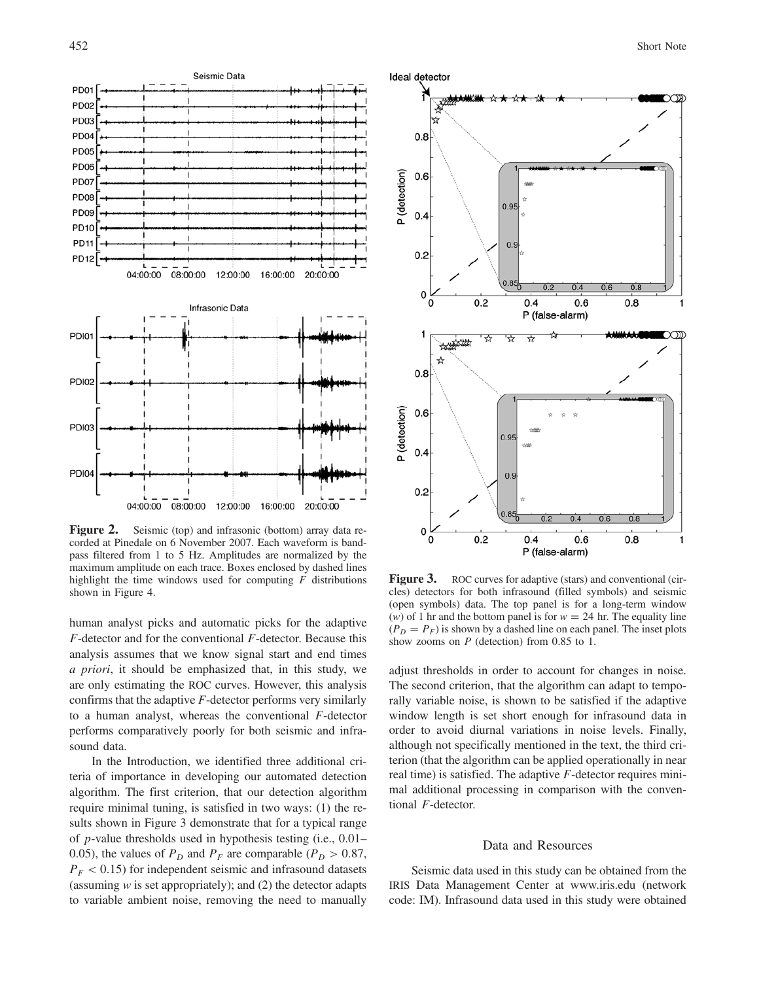

Figure 2. Seismic (top) and infrasonic (bottom) array data recorded at Pinedale on 6 November 2007. Each waveform is bandpass filtered from 1 to 5 Hz. Amplitudes are normalized by the maximum amplitude on each trace. Boxes enclosed by dashed lines highlight the time windows used for computing  $F$  distributions shown in Figure 4.

human analyst picks and automatic picks for the adaptive  $F$ -detector and for the conventional  $F$ -detector. Because this analysis assumes that we know signal start and end times a priori, it should be emphasized that, in this study, we are only estimating the ROC curves. However, this analysis confirms that the adaptive  $F$ -detector performs very similarly to a human analyst, whereas the conventional F-detector performs comparatively poorly for both seismic and infrasound data.

In the Introduction, we identified three additional criteria of importance in developing our automated detection algorithm. The first criterion, that our detection algorithm require minimal tuning, is satisfied in two ways: (1) the results shown in Figure 3 demonstrate that for a typical range of p-value thresholds used in hypothesis testing (i.e., 0.01– 0.05), the values of  $P_D$  and  $P_F$  are comparable ( $P_D > 0.87$ ,  $P_F < 0.15$ ) for independent seismic and infrasound datasets (assuming  $w$  is set appropriately); and (2) the detector adapts to variable ambient noise, removing the need to manually



Figure 3. ROC curves for adaptive (stars) and conventional (cir-<br>cles) detectors for both infrasound (filled symbols) and seismic (open symbols) data. The top panel is for a long-term window (w) of 1 hr and the bottom panel is for  $w = 24$  hr. The equality line  $(P_D = P_F)$  is shown by a dashed line on each panel. The inset plots show zooms on  $P$  (detection) from 0.85 to 1.

adjust thresholds in order to account for changes in noise. The second criterion, that the algorithm can adapt to temporally variable noise, is shown to be satisfied if the adaptive window length is set short enough for infrasound data in order to avoid diurnal variations in noise levels. Finally, although not specifically mentioned in the text, the third criterion (that the algorithm can be applied operationally in near real time) is satisfied. The adaptive F-detector requires minimal additional processing in comparison with the conventional F-detector.

## Data and Resources

Seismic data used in this study can be obtained from the IRIS Data Management Center at www.iris.edu (network code: IM). Infrasound data used in this study were obtained